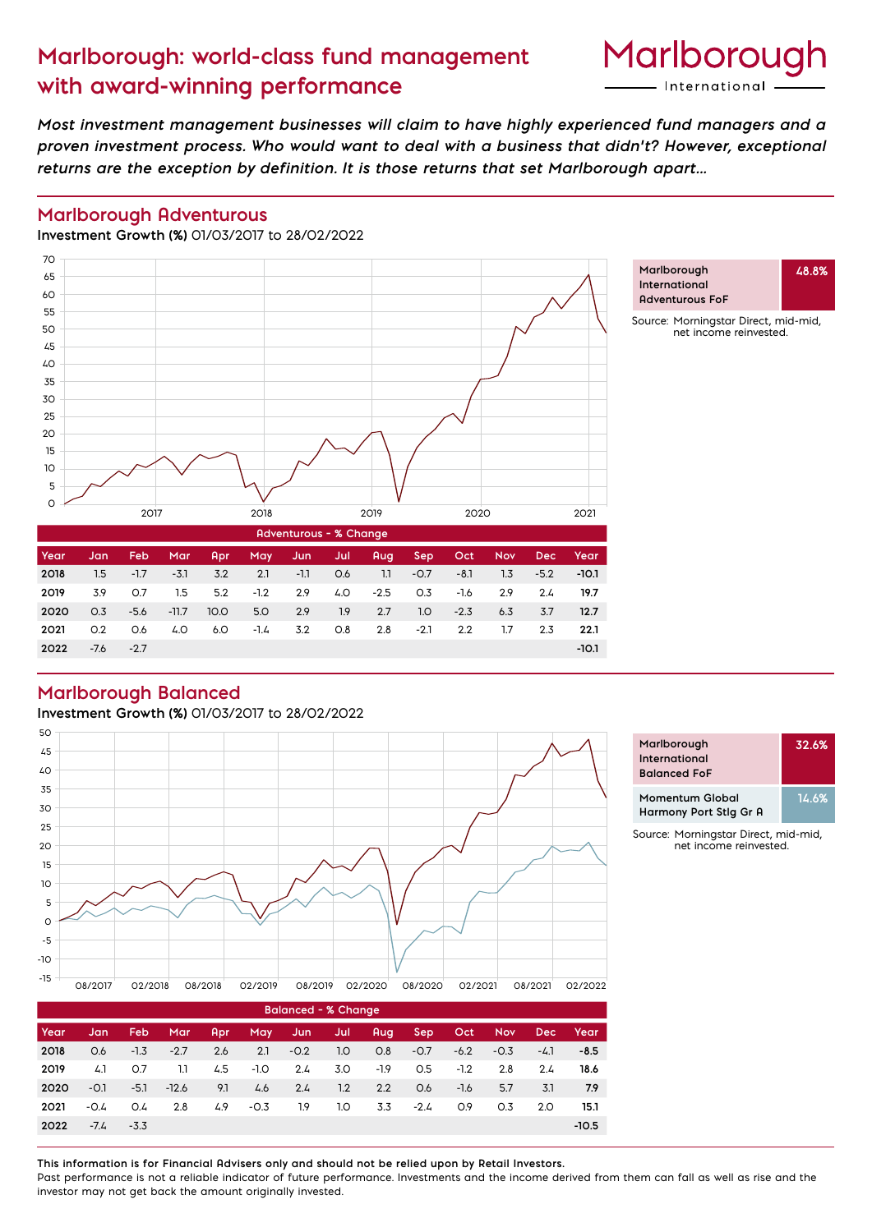# **Marlborough: world-class fund management with award-winning performance**



**48.8%**

*Most investment management businesses will claim to have highly experienced fund managers and a proven investment process. Who would want to deal with a business that didn't? However, exceptional returns are the exception by definition. It is those returns that set Marlborough apart...*

#### **Marlborough Adventurous**

**Investment Growth (%)** 01/03/2017 to 28/02/2022



## **Marlborough Balanced**

**Investment Growth (%)** 01/03/2017 to 28/02/2022



**2020** 0.3 -5.6 -11.7 10.0 5.0 2.9 1.9 2.7 1.0 -2.3 6.3 3.7 **12.7 2021** 0.2 0.6 4.0 6.0 -1.4 3.2 0.8 2.8 -2.1 2.2 1.7 2.3 **22.1 2022** -7.6 -2.7 **-10.1**

| Marlborough<br>International<br><b>Balanced FoF</b> | 32.6% |
|-----------------------------------------------------|-------|
| Momentum Global<br>Harmony Port Stig Gr A           | 14.6% |

Source: Morningstar Direct, mid-mid, net income reinvested.

| <b>Balanced - % Change</b> |        |        |         |     |        |        |     |        |        |        |            |      |         |
|----------------------------|--------|--------|---------|-----|--------|--------|-----|--------|--------|--------|------------|------|---------|
| Year                       | Jan    | Feb.   | Mar     | Apr | May    | Jun    | Jul | Aug    | Sep.   | Oct    | <b>Nov</b> | Dec: | Year    |
| 2018                       | O.6    | $-1.3$ | $-2.7$  | 2.6 | 2.1    | $-0.2$ | 1.0 | O.8    | $-0.7$ | $-6.2$ | $-0.3$     | -4.1 | $-8.5$  |
| 2019                       | 4.1    | O.7    | 1.1     | 4.5 | $-1.0$ | 2.4    | 3.O | $-1.9$ | O.5    | $-1.2$ | 2.8        | 2.4  | 18.6    |
| 2020                       | $-0.1$ | $-5.1$ | $-12.6$ | 9.1 | 4.6    | 2.4    | 1.2 | 2.2    | O.6    | $-1.6$ | 5.7        | 3.1  | 7.9     |
| 2021                       | $-0.4$ | O.4    | 2.8     | 4.9 | $-0.3$ | 1.9    | 1.0 | 3.3    | $-2.4$ | 0.9    | O.3        | 2.0  | 15.1    |
| 2022                       | $-7.4$ | $-3.3$ |         |     |        |        |     |        |        |        |            |      | $-10.5$ |

**This information is for Financial Advisers only and should not be relied upon by Retail Investors.** Past performance is not a reliable indicator of future performance. Investments and the income derived from them can fall as well as rise and the investor may not get back the amount originally invested.